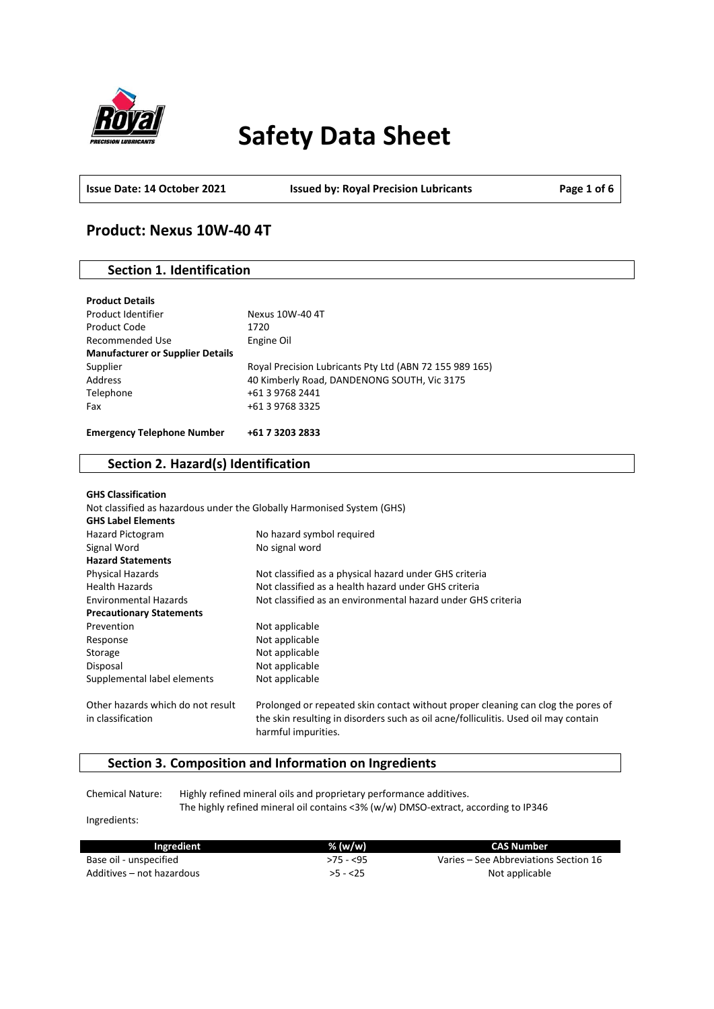

# **Safety Data Sheet**

**Issue Date: 14 October 2021 Issued by: Royal Precision Lubricants Page 1 of 6**

# **Product: Nexus 10W-40 4T**

# **Section 1. Identification**

| Supplier                          | Royal Precision Lubricants Pty Ltd (ABN 72 155 989 165) |
|-----------------------------------|---------------------------------------------------------|
| Address                           | 40 Kimberly Road, DANDENONG SOUTH, Vic 3175             |
| Telephone                         | +61 3 9768 2441                                         |
| Fax                               | +61 3 9768 3325                                         |
| <b>Emergency Telephone Number</b> | +61 7 3203 2833                                         |

### **Section 2. Hazard(s) Identification**

| <b>GHS Classification</b>                              |                                                                                                                                                                                                |
|--------------------------------------------------------|------------------------------------------------------------------------------------------------------------------------------------------------------------------------------------------------|
|                                                        | Not classified as hazardous under the Globally Harmonised System (GHS)                                                                                                                         |
| <b>GHS Label Elements</b>                              |                                                                                                                                                                                                |
| Hazard Pictogram                                       | No hazard symbol required                                                                                                                                                                      |
| Signal Word                                            | No signal word                                                                                                                                                                                 |
| <b>Hazard Statements</b>                               |                                                                                                                                                                                                |
| <b>Physical Hazards</b>                                | Not classified as a physical hazard under GHS criteria                                                                                                                                         |
| <b>Health Hazards</b>                                  | Not classified as a health hazard under GHS criteria                                                                                                                                           |
| <b>Environmental Hazards</b>                           | Not classified as an environmental hazard under GHS criteria                                                                                                                                   |
| <b>Precautionary Statements</b>                        |                                                                                                                                                                                                |
| Prevention                                             | Not applicable                                                                                                                                                                                 |
| Response                                               | Not applicable                                                                                                                                                                                 |
| Storage                                                | Not applicable                                                                                                                                                                                 |
| Disposal                                               | Not applicable                                                                                                                                                                                 |
| Supplemental label elements                            | Not applicable                                                                                                                                                                                 |
| Other hazards which do not result<br>in classification | Prolonged or repeated skin contact without proper cleaning can clog the pores of<br>the skin resulting in disorders such as oil acne/folliculitis. Used oil may contain<br>harmful impurities. |

# **Section 3. Composition and Information on Ingredients**

Chemical Nature: Highly refined mineral oils and proprietary performance additives. The highly refined mineral oil contains <3% (w/w) DMSO-extract, according to IP346

Ingredients:

| Ingredient                | % (w/w)    | CAS Number                            |
|---------------------------|------------|---------------------------------------|
| Base oil - unspecified    | $>75 - 55$ | Varies – See Abbreviations Section 16 |
| Additives – not hazardous | $>5 - 25$  | Not applicable                        |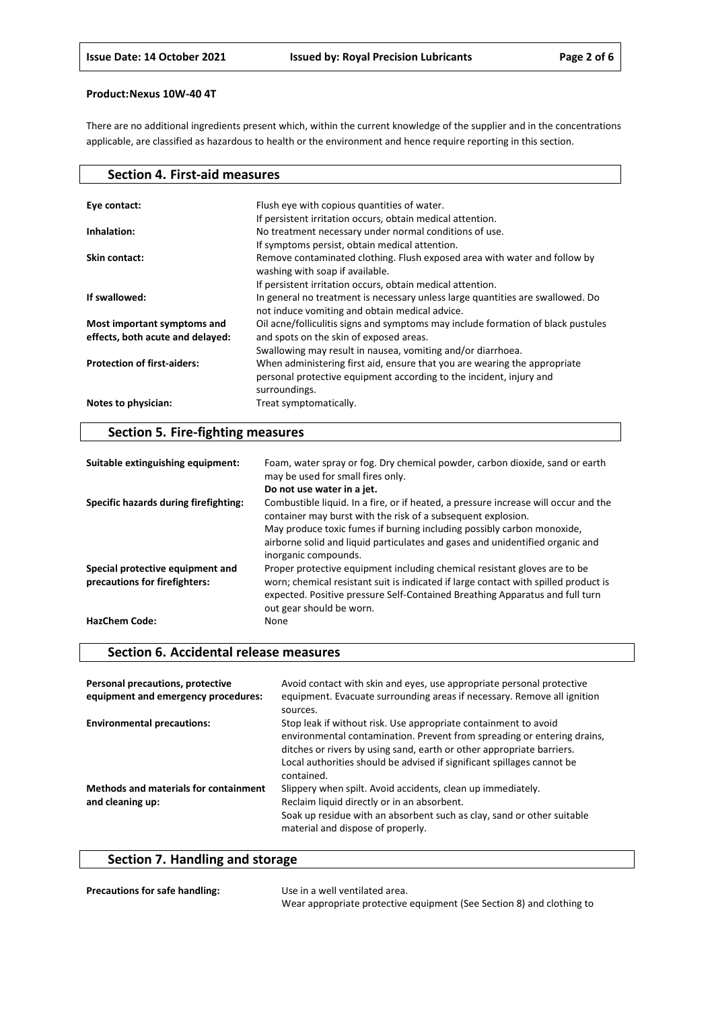There are no additional ingredients present which, within the current knowledge of the supplier and in the concentrations applicable, are classified as hazardous to health or the environment and hence require reporting in this section.

| <b>Section 4. First-aid measures</b> |                                                                                                                                                                   |
|--------------------------------------|-------------------------------------------------------------------------------------------------------------------------------------------------------------------|
|                                      |                                                                                                                                                                   |
| Eye contact:                         | Flush eye with copious quantities of water.                                                                                                                       |
|                                      | If persistent irritation occurs, obtain medical attention.                                                                                                        |
| Inhalation:                          | No treatment necessary under normal conditions of use.                                                                                                            |
|                                      | If symptoms persist, obtain medical attention.                                                                                                                    |
| Skin contact:                        | Remove contaminated clothing. Flush exposed area with water and follow by<br>washing with soap if available.                                                      |
|                                      | If persistent irritation occurs, obtain medical attention.                                                                                                        |
| If swallowed:                        | In general no treatment is necessary unless large quantities are swallowed. Do<br>not induce vomiting and obtain medical advice.                                  |
| Most important symptoms and          | Oil acne/folliculitis signs and symptoms may include formation of black pustules                                                                                  |
| effects, both acute and delayed:     | and spots on the skin of exposed areas.                                                                                                                           |
|                                      | Swallowing may result in nausea, vomiting and/or diarrhoea.                                                                                                       |
| <b>Protection of first-aiders:</b>   | When administering first aid, ensure that you are wearing the appropriate<br>personal protective equipment according to the incident, injury and<br>surroundings. |
| Notes to physician:                  | Treat symptomatically.                                                                                                                                            |

# **Section 5. Fire-fighting measures**

| Suitable extinguishing equipment:                                 | Foam, water spray or fog. Dry chemical powder, carbon dioxide, sand or earth<br>may be used for small fires only.                                                                                                                                                            |
|-------------------------------------------------------------------|------------------------------------------------------------------------------------------------------------------------------------------------------------------------------------------------------------------------------------------------------------------------------|
|                                                                   | Do not use water in a jet.                                                                                                                                                                                                                                                   |
| Specific hazards during firefighting:                             | Combustible liquid. In a fire, or if heated, a pressure increase will occur and the<br>container may burst with the risk of a subsequent explosion.<br>May produce toxic fumes if burning including possibly carbon monoxide,                                                |
|                                                                   | airborne solid and liquid particulates and gases and unidentified organic and<br>inorganic compounds.                                                                                                                                                                        |
| Special protective equipment and<br>precautions for firefighters: | Proper protective equipment including chemical resistant gloves are to be<br>worn; chemical resistant suit is indicated if large contact with spilled product is<br>expected. Positive pressure Self-Contained Breathing Apparatus and full turn<br>out gear should be worn. |
| <b>HazChem Code:</b>                                              | None                                                                                                                                                                                                                                                                         |

### **Section 6. Accidental release measures**

| Personal precautions, protective<br>equipment and emergency procedures: | Avoid contact with skin and eyes, use appropriate personal protective<br>equipment. Evacuate surrounding areas if necessary. Remove all ignition<br>sources.                                                                                                                                                |
|-------------------------------------------------------------------------|-------------------------------------------------------------------------------------------------------------------------------------------------------------------------------------------------------------------------------------------------------------------------------------------------------------|
| <b>Environmental precautions:</b>                                       | Stop leak if without risk. Use appropriate containment to avoid<br>environmental contamination. Prevent from spreading or entering drains,<br>ditches or rivers by using sand, earth or other appropriate barriers.<br>Local authorities should be advised if significant spillages cannot be<br>contained. |
| <b>Methods and materials for containment</b><br>and cleaning up:        | Slippery when spilt. Avoid accidents, clean up immediately.<br>Reclaim liquid directly or in an absorbent.<br>Soak up residue with an absorbent such as clay, sand or other suitable<br>material and dispose of properly.                                                                                   |

# **Section 7. Handling and storage**

| <b>Precautions for safe handling:</b> | Use in a well ventilated area.                                        |
|---------------------------------------|-----------------------------------------------------------------------|
|                                       | Wear appropriate protective equipment (See Section 8) and clothing to |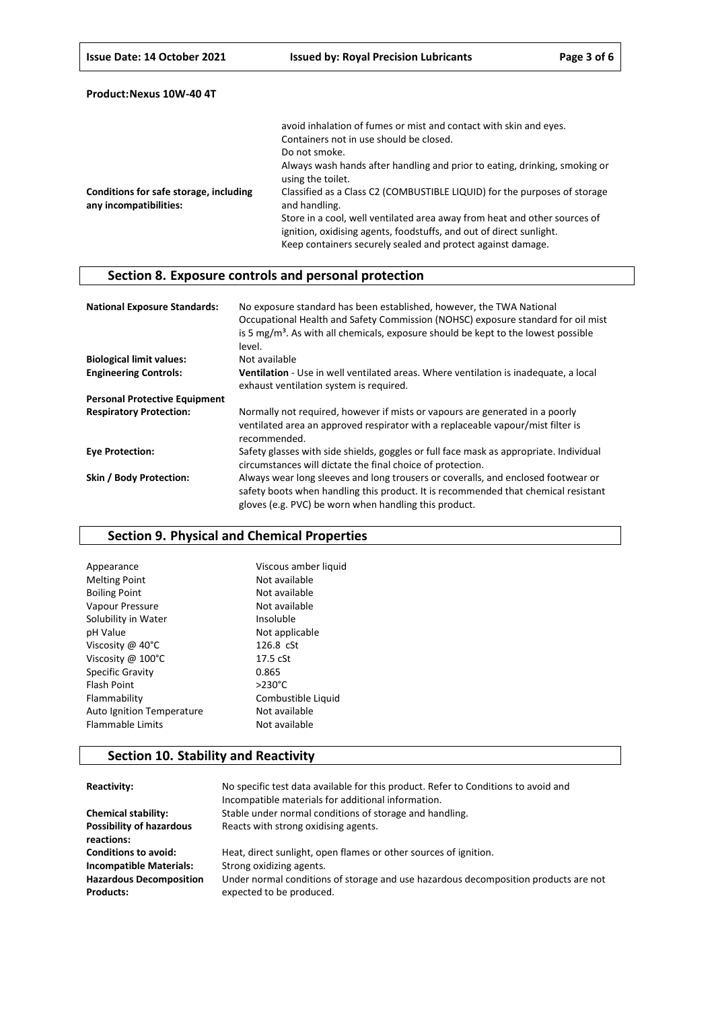|                                                                  | avoid inhalation of fumes or mist and contact with skin and eyes.                                                                                                                                               |
|------------------------------------------------------------------|-----------------------------------------------------------------------------------------------------------------------------------------------------------------------------------------------------------------|
|                                                                  | Containers not in use should be closed.                                                                                                                                                                         |
|                                                                  | Do not smoke.                                                                                                                                                                                                   |
|                                                                  | Always wash hands after handling and prior to eating, drinking, smoking or<br>using the toilet.                                                                                                                 |
| Conditions for safe storage, including<br>any incompatibilities: | Classified as a Class C2 (COMBUSTIBLE LIQUID) for the purposes of storage<br>and handling.                                                                                                                      |
|                                                                  | Store in a cool, well ventilated area away from heat and other sources of<br>ignition, oxidising agents, foodstuffs, and out of direct sunlight.<br>Keep containers securely sealed and protect against damage. |

# **Section 8. Exposure controls and personal protection**

| <b>National Exposure Standards:</b>  | No exposure standard has been established, however, the TWA National<br>Occupational Health and Safety Commission (NOHSC) exposure standard for oil mist<br>is 5 $mg/m3$ . As with all chemicals, exposure should be kept to the lowest possible<br>level. |
|--------------------------------------|------------------------------------------------------------------------------------------------------------------------------------------------------------------------------------------------------------------------------------------------------------|
| <b>Biological limit values:</b>      | Not available                                                                                                                                                                                                                                              |
| <b>Engineering Controls:</b>         | Ventilation - Use in well ventilated areas. Where ventilation is inadequate, a local<br>exhaust ventilation system is required.                                                                                                                            |
| <b>Personal Protective Equipment</b> |                                                                                                                                                                                                                                                            |
| <b>Respiratory Protection:</b>       | Normally not required, however if mists or vapours are generated in a poorly<br>ventilated area an approved respirator with a replaceable vapour/mist filter is<br>recommended.                                                                            |
| <b>Eve Protection:</b>               | Safety glasses with side shields, goggles or full face mask as appropriate. Individual<br>circumstances will dictate the final choice of protection.                                                                                                       |
| Skin / Body Protection:              | Always wear long sleeves and long trousers or coveralls, and enclosed footwear or<br>safety boots when handling this product. It is recommended that chemical resistant<br>gloves (e.g. PVC) be worn when handling this product.                           |

# **Section 9. Physical and Chemical Properties**

| Viscous amber liquid |
|----------------------|
| Not available        |
| Not available        |
| Not available        |
| Insoluble            |
| Not applicable       |
| 126.8 cSt            |
| $17.5$ $cSt$         |
| 0.865                |
| $>230^{\circ}$ C     |
| Combustible Liquid   |
| Not available        |
| Not available        |
|                      |

# **Section 10. Stability and Reactivity**

| Reactivity:                                        | No specific test data available for this product. Refer to Conditions to avoid and<br>Incompatible materials for additional information. |
|----------------------------------------------------|------------------------------------------------------------------------------------------------------------------------------------------|
| <b>Chemical stability:</b>                         | Stable under normal conditions of storage and handling.                                                                                  |
| <b>Possibility of hazardous</b><br>reactions:      | Reacts with strong oxidising agents.                                                                                                     |
| <b>Conditions to avoid:</b>                        | Heat, direct sunlight, open flames or other sources of ignition.                                                                         |
| <b>Incompatible Materials:</b>                     | Strong oxidizing agents.                                                                                                                 |
| <b>Hazardous Decomposition</b><br><b>Products:</b> | Under normal conditions of storage and use hazardous decomposition products are not<br>expected to be produced.                          |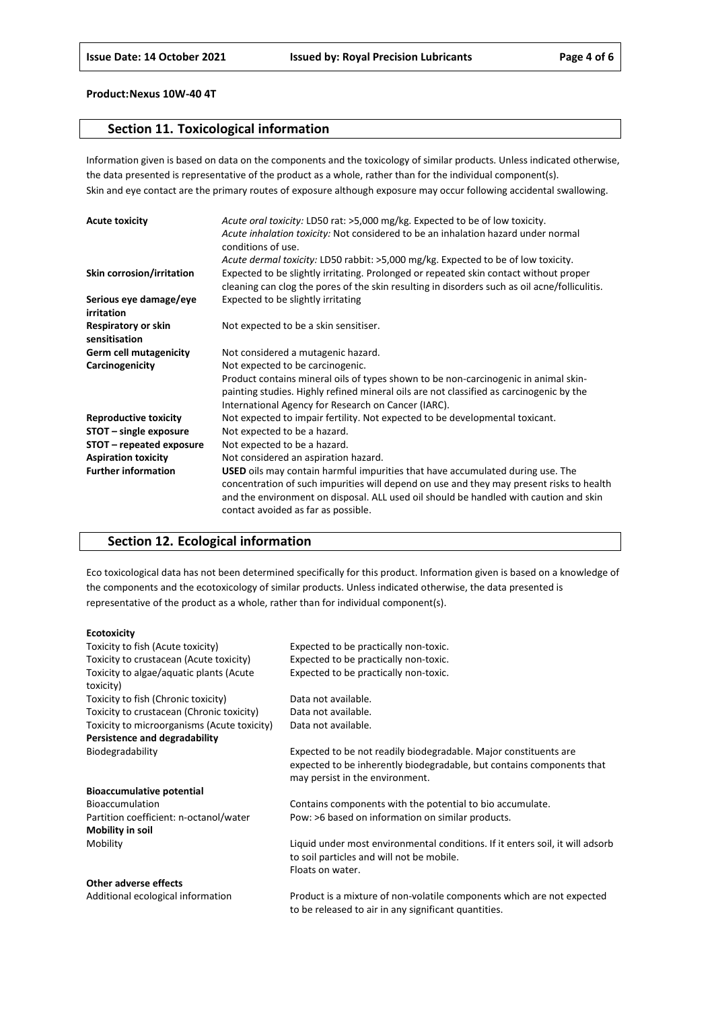### **Section 11. Toxicological information**

Information given is based on data on the components and the toxicology of similar products. Unless indicated otherwise, the data presented is representative of the product as a whole, rather than for the individual component(s). Skin and eye contact are the primary routes of exposure although exposure may occur following accidental swallowing.

| <b>Acute toxicity</b>                | Acute oral toxicity: LD50 rat: >5,000 mg/kg. Expected to be of low toxicity.<br>Acute inhalation toxicity: Not considered to be an inhalation hazard under normal<br>conditions of use.                                                                                                                    |
|--------------------------------------|------------------------------------------------------------------------------------------------------------------------------------------------------------------------------------------------------------------------------------------------------------------------------------------------------------|
|                                      | Acute dermal toxicity: LD50 rabbit: >5,000 mg/kg. Expected to be of low toxicity.                                                                                                                                                                                                                          |
| Skin corrosion/irritation            | Expected to be slightly irritating. Prolonged or repeated skin contact without proper<br>cleaning can clog the pores of the skin resulting in disorders such as oil acne/folliculitis.                                                                                                                     |
| Serious eye damage/eye<br>irritation | Expected to be slightly irritating                                                                                                                                                                                                                                                                         |
| Respiratory or skin<br>sensitisation | Not expected to be a skin sensitiser.                                                                                                                                                                                                                                                                      |
| <b>Germ cell mutagenicity</b>        | Not considered a mutagenic hazard.                                                                                                                                                                                                                                                                         |
| Carcinogenicity                      | Not expected to be carcinogenic.                                                                                                                                                                                                                                                                           |
|                                      | Product contains mineral oils of types shown to be non-carcinogenic in animal skin-                                                                                                                                                                                                                        |
|                                      | painting studies. Highly refined mineral oils are not classified as carcinogenic by the                                                                                                                                                                                                                    |
|                                      | International Agency for Research on Cancer (IARC).                                                                                                                                                                                                                                                        |
| <b>Reproductive toxicity</b>         | Not expected to impair fertility. Not expected to be developmental toxicant.                                                                                                                                                                                                                               |
| STOT - single exposure               | Not expected to be a hazard.                                                                                                                                                                                                                                                                               |
| STOT – repeated exposure             | Not expected to be a hazard.                                                                                                                                                                                                                                                                               |
| <b>Aspiration toxicity</b>           | Not considered an aspiration hazard.                                                                                                                                                                                                                                                                       |
| <b>Further information</b>           | USED oils may contain harmful impurities that have accumulated during use. The<br>concentration of such impurities will depend on use and they may present risks to health<br>and the environment on disposal. ALL used oil should be handled with caution and skin<br>contact avoided as far as possible. |

# **Section 12. Ecological information**

Eco toxicological data has not been determined specifically for this product. Information given is based on a knowledge of the components and the ecotoxicology of similar products. Unless indicated otherwise, the data presented is representative of the product as a whole, rather than for individual component(s).

#### **Ecotoxicity**

| Toxicity to fish (Acute toxicity)                    | Expected to be practically non-toxic.                                                                                                                                        |
|------------------------------------------------------|------------------------------------------------------------------------------------------------------------------------------------------------------------------------------|
| Toxicity to crustacean (Acute toxicity)              | Expected to be practically non-toxic.                                                                                                                                        |
| Toxicity to algae/aquatic plants (Acute<br>toxicity) | Expected to be practically non-toxic.                                                                                                                                        |
| Toxicity to fish (Chronic toxicity)                  | Data not available.                                                                                                                                                          |
| Toxicity to crustacean (Chronic toxicity)            | Data not available.                                                                                                                                                          |
| Toxicity to microorganisms (Acute toxicity)          | Data not available.                                                                                                                                                          |
| Persistence and degradability                        |                                                                                                                                                                              |
| Biodegradability                                     | Expected to be not readily biodegradable. Major constituents are<br>expected to be inherently biodegradable, but contains components that<br>may persist in the environment. |
| <b>Bioaccumulative potential</b>                     |                                                                                                                                                                              |
| <b>Bioaccumulation</b>                               | Contains components with the potential to bio accumulate.                                                                                                                    |
| Partition coefficient: n-octanol/water               | Pow: >6 based on information on similar products.                                                                                                                            |
| Mobility in soil                                     |                                                                                                                                                                              |
| Mobility                                             | Liquid under most environmental conditions. If it enters soil, it will adsorb<br>to soil particles and will not be mobile.                                                   |
|                                                      | Floats on water.                                                                                                                                                             |
| <b>Other adverse effects</b>                         |                                                                                                                                                                              |
| Additional ecological information                    | Product is a mixture of non-volatile components which are not expected                                                                                                       |

to be released to air in any significant quantities.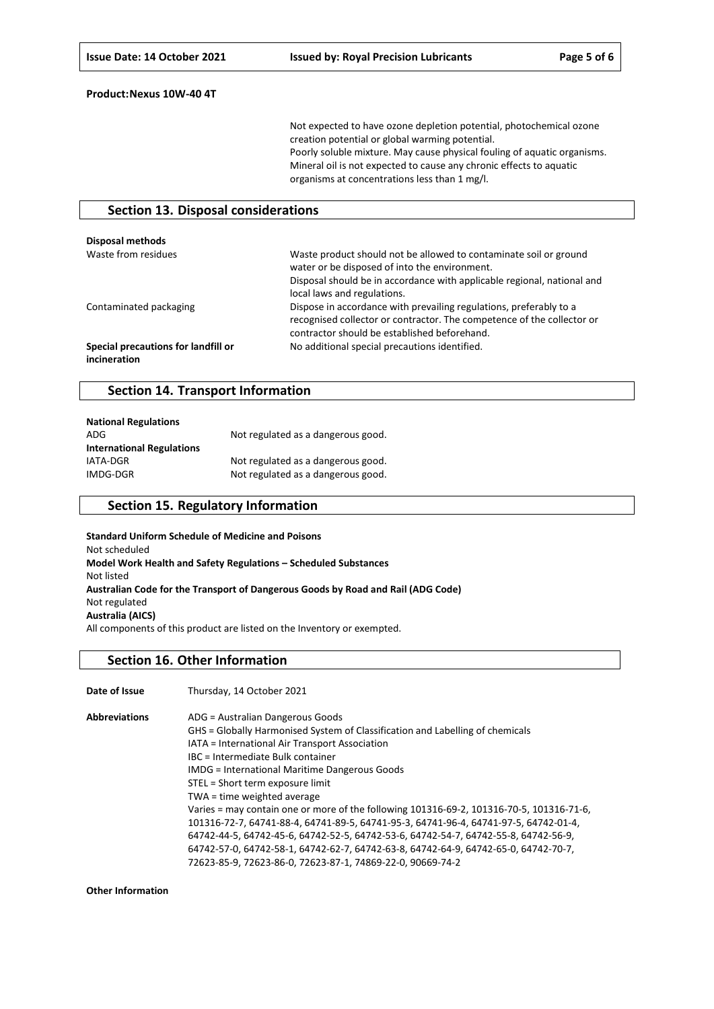Not expected to have ozone depletion potential, photochemical ozone creation potential or global warming potential. Poorly soluble mixture. May cause physical fouling of aquatic organisms. Mineral oil is not expected to cause any chronic effects to aquatic organisms at concentrations less than 1 mg/l.

### **Section 13. Disposal considerations**

| Disposal methods                                    |                                                                                                                                                                                                                              |  |
|-----------------------------------------------------|------------------------------------------------------------------------------------------------------------------------------------------------------------------------------------------------------------------------------|--|
| Waste from residues                                 | Waste product should not be allowed to contaminate soil or ground<br>water or be disposed of into the environment.<br>Disposal should be in accordance with applicable regional, national and<br>local laws and regulations. |  |
| Contaminated packaging                              | Dispose in accordance with prevailing regulations, preferably to a<br>recognised collector or contractor. The competence of the collector or<br>contractor should be established beforehand.                                 |  |
| Special precautions for landfill or<br>incineration | No additional special precautions identified.                                                                                                                                                                                |  |

### **Section 14. Transport Information**

| <b>National Regulations</b>      |                                    |
|----------------------------------|------------------------------------|
| ADG                              | Not regulated as a dangerous good. |
| <b>International Regulations</b> |                                    |
| IATA-DGR                         | Not regulated as a dangerous good. |
| IMDG-DGR                         | Not regulated as a dangerous good. |

### **Section 15. Regulatory Information**

**Standard Uniform Schedule of Medicine and Poisons** Not scheduled **Model Work Health and Safety Regulations – Scheduled Substances** Not listed **Australian Code for the Transport of Dangerous Goods by Road and Rail (ADG Code)** Not regulated **Australia (AICS)** All components of this product are listed on the Inventory or exempted.

#### **Section 16. Other Information**

**Date of Issue** Thursday, 14 October 2021 **Abbreviations** ADG = Australian Dangerous Goods GHS = Globally Harmonised System of Classification and Labelling of chemicals IATA = International Air Transport Association IBC = Intermediate Bulk container IMDG = International Maritime Dangerous Goods STEL = Short term exposure limit TWA = time weighted average Varies = may contain one or more of the following 101316-69-2, 101316-70-5, 101316-71-6, 101316-72-7, 64741-88-4, 64741-89-5, 64741-95-3, 64741-96-4, 64741-97-5, 64742-01-4, 64742-44-5, 64742-45-6, 64742-52-5, 64742-53-6, 64742-54-7, 64742-55-8, 64742-56-9, 64742-57-0, 64742-58-1, 64742-62-7, 64742-63-8, 64742-64-9, 64742-65-0, 64742-70-7, 72623-85-9, 72623-86-0, 72623-87-1, 74869-22-0, 90669-74-2

**Other Information**